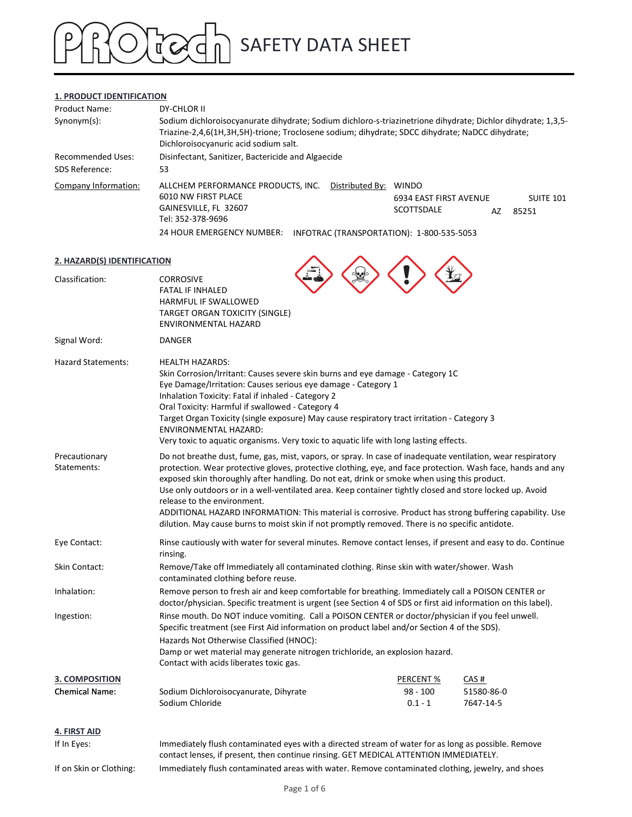### 1. PRODUCT IDENTIFICATION

| <b>SAFETY DATA SHEET</b><br>1. PRODUCT IDENTIFICATION<br>Product Name:<br>DY-CHLOR II                                                                                                                                                                                   |
|-------------------------------------------------------------------------------------------------------------------------------------------------------------------------------------------------------------------------------------------------------------------------|
|                                                                                                                                                                                                                                                                         |
|                                                                                                                                                                                                                                                                         |
|                                                                                                                                                                                                                                                                         |
|                                                                                                                                                                                                                                                                         |
| Sodium dichloroisocyanurate dihydrate; Sodium dichloro-s-triazinetrione dihydrate; Dichlor dihydrate; 1,3,5-<br>Synonym(s):<br>Triazine-2,4,6(1H,3H,5H)-trione; Troclosene sodium; dihydrate; SDCC dihydrate; NaDCC dihydrate;<br>Dichloroisocyanuric acid sodium salt. |
| <b>Recommended Uses:</b><br>Disinfectant, Sanitizer, Bactericide and Algaecide                                                                                                                                                                                          |
| SDS Reference:<br>53                                                                                                                                                                                                                                                    |
| Company Information:<br>ALLCHEM PERFORMANCE PRODUCTS, INC.<br>Distributed By: WINDO<br>6010 NW FIRST PLACE<br><b>SUITE 101</b><br>6934 EAST FIRST AVENUE<br>GAINESVILLE, FL 32607<br>SCOTTSDALE<br>AZ<br>85251<br>Tel: 352-378-9696                                     |
| 24 HOUR EMERGENCY NUMBER: INFOTRAC (TRANSPORTATION): 1-800-535-5053                                                                                                                                                                                                     |
| 2. HAZARD(S) IDENTIFICATION                                                                                                                                                                                                                                             |
| Classification:<br><b>CORROSIVE</b><br><b>FATAL IF INHALED</b><br>HARMFUL IF SWALLOWED<br>TARGET ORGAN TOXICITY (SINGLE)<br>ENVIRONMENTAL HAZARD                                                                                                                        |
| Signal Word:<br><b>DANGER</b>                                                                                                                                                                                                                                           |

| Classification:<br><b>CORROSIVE</b><br><b>FATAL IF INHALED</b><br>HARMFUL IF SWALLOWED<br>TARGET ORGAN TOXICITY (SINGLE)<br>ENVIRONMENTAL HAZARD<br>Signal Word:<br>DANGER<br>Hazard Statements:<br><b>HEALTH HAZARDS:</b><br>Skin Corrosion/Irritant: Causes severe skin burns and eye damage - Category 1C<br>Eye Damage/Irritation: Causes serious eye damage - Category 1<br>Inhalation Toxicity: Fatal if inhaled - Category 2<br>Oral Toxicity: Harmful if swallowed - Category 4<br>Target Organ Toxicity (single exposure) May cause respiratory tract irritation - Category 3<br>ENVIRONMENTAL HAZARD:<br>Very toxic to aquatic organisms. Very toxic to aquatic life with long lasting effects.<br>Precautionary<br>Do not breathe dust, fume, gas, mist, vapors, or spray. In case of inadequate ventilation, wear respiratory<br>Statements:<br>protection. Wear protective gloves, protective clothing, eye, and face protection. Wash face, hands and any<br>exposed skin thoroughly after handling. Do not eat, drink or smoke when using this product.<br>Use only outdoors or in a well-ventilated area. Keep container tightly closed and store locked up. Avoid<br>release to the environment.<br>ADDITIONAL HAZARD INFORMATION: This material is corrosive. Product has strong buffering capability. Use<br>dilution. May cause burns to moist skin if not promptly removed. There is no specific antidote.<br>Eye Contact:<br>Rinse cautiously with water for several minutes. Remove contact lenses, if present and easy to do. Continue<br>rinsing.<br>Skin Contact:<br>Remove/Take off Immediately all contaminated clothing. Rinse skin with water/shower. Wash<br>contaminated clothing before reuse.<br>Inhalation:<br>Remove person to fresh air and keep comfortable for breathing. Immediately call a POISON CENTER or<br>doctor/physician. Specific treatment is urgent (see Section 4 of SDS or first aid information on this label).<br>Rinse mouth. Do NOT induce vomiting. Call a POISON CENTER or doctor/physician if you feel unwell.<br>Ingestion:<br>Specific treatment (see First Aid information on product label and/or Section 4 of the SDS).<br>Hazards Not Otherwise Classified (HNOC):<br>Damp or wet material may generate nitrogen trichloride, an explosion hazard.<br>Contact with acids liberates toxic gas.<br>3. COMPOSITION<br><b>PERCENT %</b><br>CAS#<br>51580-86-0<br><b>Chemical Name:</b><br>Sodium Dichloroisocyanurate, Dihyrate<br>$98 - 100$<br>Sodium Chloride<br>$0.1 - 1$<br>7647-14-5<br>4. FIRST AID<br>If In Eyes:<br>Immediately flush contaminated eyes with a directed stream of water for as long as possible. Remove<br>contact lenses, if present, then continue rinsing. GET MEDICAL ATTENTION IMMEDIATELY.<br>If on Skin or Clothing:<br>Immediately flush contaminated areas with water. Remove contaminated clothing, jewelry, and shoes<br>Page 1 of 6 | 2. HAZARD(S) IDENTIFICATION |  |  |  |  |  |
|----------------------------------------------------------------------------------------------------------------------------------------------------------------------------------------------------------------------------------------------------------------------------------------------------------------------------------------------------------------------------------------------------------------------------------------------------------------------------------------------------------------------------------------------------------------------------------------------------------------------------------------------------------------------------------------------------------------------------------------------------------------------------------------------------------------------------------------------------------------------------------------------------------------------------------------------------------------------------------------------------------------------------------------------------------------------------------------------------------------------------------------------------------------------------------------------------------------------------------------------------------------------------------------------------------------------------------------------------------------------------------------------------------------------------------------------------------------------------------------------------------------------------------------------------------------------------------------------------------------------------------------------------------------------------------------------------------------------------------------------------------------------------------------------------------------------------------------------------------------------------------------------------------------------------------------------------------------------------------------------------------------------------------------------------------------------------------------------------------------------------------------------------------------------------------------------------------------------------------------------------------------------------------------------------------------------------------------------------------------------------------------------------------------------------------------------------------------------------------------------------------------------------------------------------------------------------------------------------------------------------------------------------------------------------------------------------------------------------------------------------------------------------------------------------------------------------------------------------------------------------------------------------------------------------------------|-----------------------------|--|--|--|--|--|
|                                                                                                                                                                                                                                                                                                                                                                                                                                                                                                                                                                                                                                                                                                                                                                                                                                                                                                                                                                                                                                                                                                                                                                                                                                                                                                                                                                                                                                                                                                                                                                                                                                                                                                                                                                                                                                                                                                                                                                                                                                                                                                                                                                                                                                                                                                                                                                                                                                                                                                                                                                                                                                                                                                                                                                                                                                                                                                                                        |                             |  |  |  |  |  |
|                                                                                                                                                                                                                                                                                                                                                                                                                                                                                                                                                                                                                                                                                                                                                                                                                                                                                                                                                                                                                                                                                                                                                                                                                                                                                                                                                                                                                                                                                                                                                                                                                                                                                                                                                                                                                                                                                                                                                                                                                                                                                                                                                                                                                                                                                                                                                                                                                                                                                                                                                                                                                                                                                                                                                                                                                                                                                                                                        |                             |  |  |  |  |  |
|                                                                                                                                                                                                                                                                                                                                                                                                                                                                                                                                                                                                                                                                                                                                                                                                                                                                                                                                                                                                                                                                                                                                                                                                                                                                                                                                                                                                                                                                                                                                                                                                                                                                                                                                                                                                                                                                                                                                                                                                                                                                                                                                                                                                                                                                                                                                                                                                                                                                                                                                                                                                                                                                                                                                                                                                                                                                                                                                        |                             |  |  |  |  |  |
|                                                                                                                                                                                                                                                                                                                                                                                                                                                                                                                                                                                                                                                                                                                                                                                                                                                                                                                                                                                                                                                                                                                                                                                                                                                                                                                                                                                                                                                                                                                                                                                                                                                                                                                                                                                                                                                                                                                                                                                                                                                                                                                                                                                                                                                                                                                                                                                                                                                                                                                                                                                                                                                                                                                                                                                                                                                                                                                                        |                             |  |  |  |  |  |
|                                                                                                                                                                                                                                                                                                                                                                                                                                                                                                                                                                                                                                                                                                                                                                                                                                                                                                                                                                                                                                                                                                                                                                                                                                                                                                                                                                                                                                                                                                                                                                                                                                                                                                                                                                                                                                                                                                                                                                                                                                                                                                                                                                                                                                                                                                                                                                                                                                                                                                                                                                                                                                                                                                                                                                                                                                                                                                                                        |                             |  |  |  |  |  |
|                                                                                                                                                                                                                                                                                                                                                                                                                                                                                                                                                                                                                                                                                                                                                                                                                                                                                                                                                                                                                                                                                                                                                                                                                                                                                                                                                                                                                                                                                                                                                                                                                                                                                                                                                                                                                                                                                                                                                                                                                                                                                                                                                                                                                                                                                                                                                                                                                                                                                                                                                                                                                                                                                                                                                                                                                                                                                                                                        |                             |  |  |  |  |  |
|                                                                                                                                                                                                                                                                                                                                                                                                                                                                                                                                                                                                                                                                                                                                                                                                                                                                                                                                                                                                                                                                                                                                                                                                                                                                                                                                                                                                                                                                                                                                                                                                                                                                                                                                                                                                                                                                                                                                                                                                                                                                                                                                                                                                                                                                                                                                                                                                                                                                                                                                                                                                                                                                                                                                                                                                                                                                                                                                        |                             |  |  |  |  |  |
|                                                                                                                                                                                                                                                                                                                                                                                                                                                                                                                                                                                                                                                                                                                                                                                                                                                                                                                                                                                                                                                                                                                                                                                                                                                                                                                                                                                                                                                                                                                                                                                                                                                                                                                                                                                                                                                                                                                                                                                                                                                                                                                                                                                                                                                                                                                                                                                                                                                                                                                                                                                                                                                                                                                                                                                                                                                                                                                                        |                             |  |  |  |  |  |
|                                                                                                                                                                                                                                                                                                                                                                                                                                                                                                                                                                                                                                                                                                                                                                                                                                                                                                                                                                                                                                                                                                                                                                                                                                                                                                                                                                                                                                                                                                                                                                                                                                                                                                                                                                                                                                                                                                                                                                                                                                                                                                                                                                                                                                                                                                                                                                                                                                                                                                                                                                                                                                                                                                                                                                                                                                                                                                                                        |                             |  |  |  |  |  |
|                                                                                                                                                                                                                                                                                                                                                                                                                                                                                                                                                                                                                                                                                                                                                                                                                                                                                                                                                                                                                                                                                                                                                                                                                                                                                                                                                                                                                                                                                                                                                                                                                                                                                                                                                                                                                                                                                                                                                                                                                                                                                                                                                                                                                                                                                                                                                                                                                                                                                                                                                                                                                                                                                                                                                                                                                                                                                                                                        |                             |  |  |  |  |  |
|                                                                                                                                                                                                                                                                                                                                                                                                                                                                                                                                                                                                                                                                                                                                                                                                                                                                                                                                                                                                                                                                                                                                                                                                                                                                                                                                                                                                                                                                                                                                                                                                                                                                                                                                                                                                                                                                                                                                                                                                                                                                                                                                                                                                                                                                                                                                                                                                                                                                                                                                                                                                                                                                                                                                                                                                                                                                                                                                        |                             |  |  |  |  |  |
|                                                                                                                                                                                                                                                                                                                                                                                                                                                                                                                                                                                                                                                                                                                                                                                                                                                                                                                                                                                                                                                                                                                                                                                                                                                                                                                                                                                                                                                                                                                                                                                                                                                                                                                                                                                                                                                                                                                                                                                                                                                                                                                                                                                                                                                                                                                                                                                                                                                                                                                                                                                                                                                                                                                                                                                                                                                                                                                                        |                             |  |  |  |  |  |
|                                                                                                                                                                                                                                                                                                                                                                                                                                                                                                                                                                                                                                                                                                                                                                                                                                                                                                                                                                                                                                                                                                                                                                                                                                                                                                                                                                                                                                                                                                                                                                                                                                                                                                                                                                                                                                                                                                                                                                                                                                                                                                                                                                                                                                                                                                                                                                                                                                                                                                                                                                                                                                                                                                                                                                                                                                                                                                                                        |                             |  |  |  |  |  |
|                                                                                                                                                                                                                                                                                                                                                                                                                                                                                                                                                                                                                                                                                                                                                                                                                                                                                                                                                                                                                                                                                                                                                                                                                                                                                                                                                                                                                                                                                                                                                                                                                                                                                                                                                                                                                                                                                                                                                                                                                                                                                                                                                                                                                                                                                                                                                                                                                                                                                                                                                                                                                                                                                                                                                                                                                                                                                                                                        |                             |  |  |  |  |  |
|                                                                                                                                                                                                                                                                                                                                                                                                                                                                                                                                                                                                                                                                                                                                                                                                                                                                                                                                                                                                                                                                                                                                                                                                                                                                                                                                                                                                                                                                                                                                                                                                                                                                                                                                                                                                                                                                                                                                                                                                                                                                                                                                                                                                                                                                                                                                                                                                                                                                                                                                                                                                                                                                                                                                                                                                                                                                                                                                        |                             |  |  |  |  |  |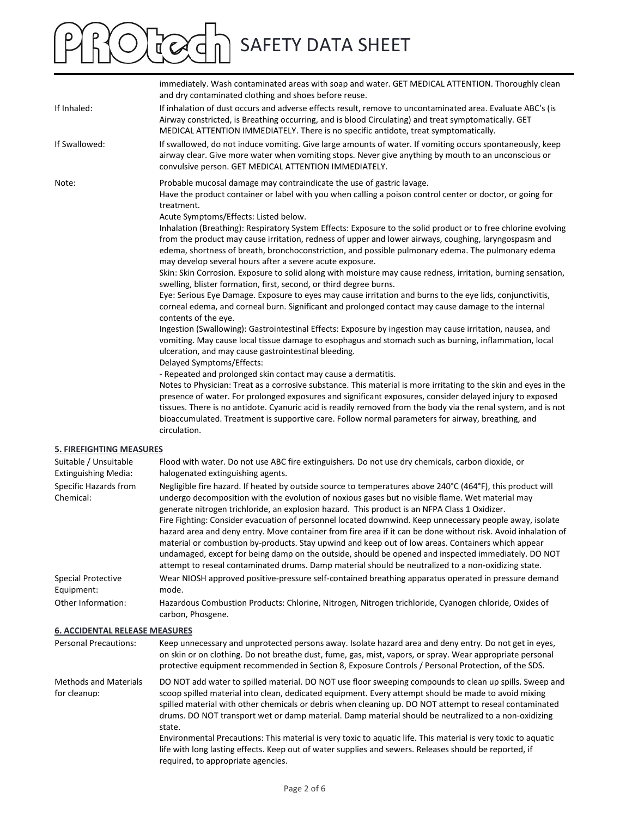|                                                                       | <b>SAFETY DATA SHEET</b>                                                                                                                                                                                                                                                                                                                                                                                                                                                                                                                                                                                                                                                                                                                                                                                                                                                                             |
|-----------------------------------------------------------------------|------------------------------------------------------------------------------------------------------------------------------------------------------------------------------------------------------------------------------------------------------------------------------------------------------------------------------------------------------------------------------------------------------------------------------------------------------------------------------------------------------------------------------------------------------------------------------------------------------------------------------------------------------------------------------------------------------------------------------------------------------------------------------------------------------------------------------------------------------------------------------------------------------|
|                                                                       | immediately. Wash contaminated areas with soap and water. GET MEDICAL ATTENTION. Thoroughly clean<br>and dry contaminated clothing and shoes before reuse.                                                                                                                                                                                                                                                                                                                                                                                                                                                                                                                                                                                                                                                                                                                                           |
| If Inhaled:                                                           | If inhalation of dust occurs and adverse effects result, remove to uncontaminated area. Evaluate ABC's (is<br>Airway constricted, is Breathing occurring, and is blood Circulating) and treat symptomatically. GET<br>MEDICAL ATTENTION IMMEDIATELY. There is no specific antidote, treat symptomatically.                                                                                                                                                                                                                                                                                                                                                                                                                                                                                                                                                                                           |
| If Swallowed:                                                         | If swallowed, do not induce vomiting. Give large amounts of water. If vomiting occurs spontaneously, keep<br>airway clear. Give more water when vomiting stops. Never give anything by mouth to an unconscious or<br>convulsive person. GET MEDICAL ATTENTION IMMEDIATELY.                                                                                                                                                                                                                                                                                                                                                                                                                                                                                                                                                                                                                           |
| Note:                                                                 | Probable mucosal damage may contraindicate the use of gastric lavage.<br>Have the product container or label with you when calling a poison control center or doctor, or going for<br>treatment.                                                                                                                                                                                                                                                                                                                                                                                                                                                                                                                                                                                                                                                                                                     |
|                                                                       | Acute Symptoms/Effects: Listed below.<br>Inhalation (Breathing): Respiratory System Effects: Exposure to the solid product or to free chlorine evolving<br>from the product may cause irritation, redness of upper and lower airways, coughing, laryngospasm and<br>edema, shortness of breath, bronchoconstriction, and possible pulmonary edema. The pulmonary edema<br>may develop several hours after a severe acute exposure.                                                                                                                                                                                                                                                                                                                                                                                                                                                                   |
|                                                                       | Skin: Skin Corrosion. Exposure to solid along with moisture may cause redness, irritation, burning sensation,<br>swelling, blister formation, first, second, or third degree burns.<br>Eye: Serious Eye Damage. Exposure to eyes may cause irritation and burns to the eye lids, conjunctivitis,                                                                                                                                                                                                                                                                                                                                                                                                                                                                                                                                                                                                     |
|                                                                       | corneal edema, and corneal burn. Significant and prolonged contact may cause damage to the internal<br>contents of the eye.<br>Ingestion (Swallowing): Gastrointestinal Effects: Exposure by ingestion may cause irritation, nausea, and<br>vomiting. May cause local tissue damage to esophagus and stomach such as burning, inflammation, local<br>ulceration, and may cause gastrointestinal bleeding.<br>Delayed Symptoms/Effects:                                                                                                                                                                                                                                                                                                                                                                                                                                                               |
|                                                                       | - Repeated and prolonged skin contact may cause a dermatitis.<br>Notes to Physician: Treat as a corrosive substance. This material is more irritating to the skin and eyes in the<br>presence of water. For prolonged exposures and significant exposures, consider delayed injury to exposed<br>tissues. There is no antidote. Cyanuric acid is readily removed from the body via the renal system, and is not<br>bioaccumulated. Treatment is supportive care. Follow normal parameters for airway, breathing, and<br>circulation.                                                                                                                                                                                                                                                                                                                                                                 |
| <b>5. FIREFIGHTING MEASURES</b><br>Suitable / Unsuitable              | Flood with water. Do not use ABC fire extinguishers. Do not use dry chemicals, carbon dioxide, or                                                                                                                                                                                                                                                                                                                                                                                                                                                                                                                                                                                                                                                                                                                                                                                                    |
| <b>Extinguishing Media:</b><br>Specific Hazards from<br>Chemical:     | halogenated extinguishing agents.<br>Negligible fire hazard. If heated by outside source to temperatures above 240°C (464°F), this product will<br>undergo decomposition with the evolution of noxious gases but no visible flame. Wet material may<br>generate nitrogen trichloride, an explosion hazard. This product is an NFPA Class 1 Oxidizer.<br>Fire Fighting: Consider evacuation of personnel located downwind. Keep unnecessary people away, isolate<br>hazard area and deny entry. Move container from fire area if it can be done without risk. Avoid inhalation of<br>material or combustion by-products. Stay upwind and keep out of low areas. Containers which appear<br>undamaged, except for being damp on the outside, should be opened and inspected immediately. DO NOT<br>attempt to reseal contaminated drums. Damp material should be neutralized to a non-oxidizing state. |
| <b>Special Protective</b><br>Equipment:<br>Other Information:         | Wear NIOSH approved positive-pressure self-contained breathing apparatus operated in pressure demand<br>mode.<br>Hazardous Combustion Products: Chlorine, Nitrogen, Nitrogen trichloride, Cyanogen chloride, Oxides of                                                                                                                                                                                                                                                                                                                                                                                                                                                                                                                                                                                                                                                                               |
|                                                                       | carbon, Phosgene.                                                                                                                                                                                                                                                                                                                                                                                                                                                                                                                                                                                                                                                                                                                                                                                                                                                                                    |
| <b>6. ACCIDENTAL RELEASE MEASURES</b><br><b>Personal Precautions:</b> | Keep unnecessary and unprotected persons away. Isolate hazard area and deny entry. Do not get in eyes,<br>on skin or on clothing. Do not breathe dust, fume, gas, mist, vapors, or spray. Wear appropriate personal<br>protective equipment recommended in Section 8, Exposure Controls / Personal Protection, of the SDS.                                                                                                                                                                                                                                                                                                                                                                                                                                                                                                                                                                           |
| <b>Methods and Materials</b><br>for cleanup:                          | DO NOT add water to spilled material. DO NOT use floor sweeping compounds to clean up spills. Sweep and<br>scoop spilled material into clean, dedicated equipment. Every attempt should be made to avoid mixing<br>spilled material with other chemicals or debris when cleaning up. DO NOT attempt to reseal contaminated<br>drums. DO NOT transport wet or damp material. Damp material should be neutralized to a non-oxidizing<br>state.<br>Environmental Precautions: This material is very toxic to aquatic life. This material is very toxic to aquatic<br>life with long lasting effects. Keep out of water supplies and sewers. Releases should be reported, if                                                                                                                                                                                                                             |

Page 2 of 6

required, to appropriate agencies.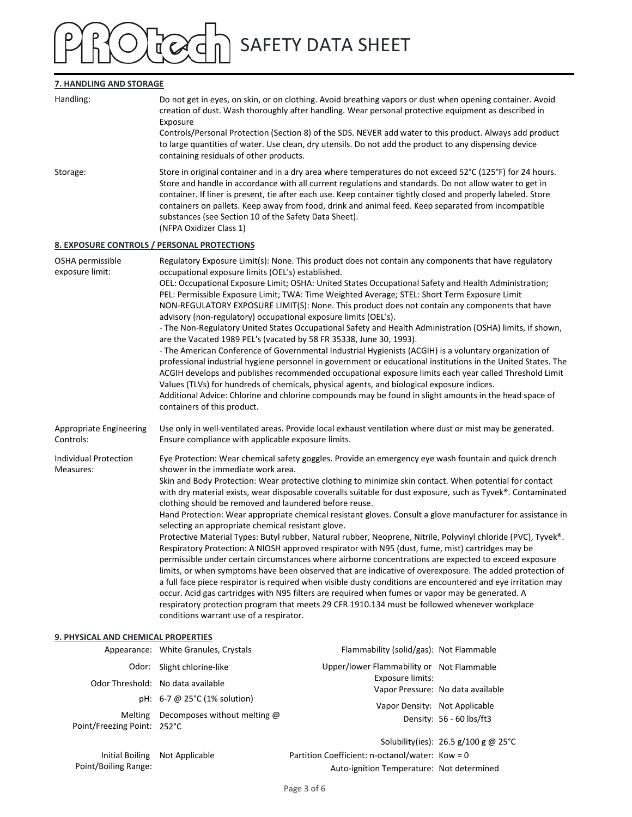### SAFETY DATA SHEET  $\mathfrak{a}'$  C

### 7. HANDLING AND STORAGE

| 7. HANDLING AND STORAGE                     |                                                                                                                                                                                                                                                                                                                                                                                                                                                                                                                                                                                                  |                                                                                                                                                                                                                                                                                                                                                                                                                                                                                                                                                                                                                                                                                                                                                                                                                                                                                                                                                                                                                                                                                                                                                                                                                  |                                      |  |  |  |
|---------------------------------------------|--------------------------------------------------------------------------------------------------------------------------------------------------------------------------------------------------------------------------------------------------------------------------------------------------------------------------------------------------------------------------------------------------------------------------------------------------------------------------------------------------------------------------------------------------------------------------------------------------|------------------------------------------------------------------------------------------------------------------------------------------------------------------------------------------------------------------------------------------------------------------------------------------------------------------------------------------------------------------------------------------------------------------------------------------------------------------------------------------------------------------------------------------------------------------------------------------------------------------------------------------------------------------------------------------------------------------------------------------------------------------------------------------------------------------------------------------------------------------------------------------------------------------------------------------------------------------------------------------------------------------------------------------------------------------------------------------------------------------------------------------------------------------------------------------------------------------|--------------------------------------|--|--|--|
| Handling:                                   | Exposure                                                                                                                                                                                                                                                                                                                                                                                                                                                                                                                                                                                         | Do not get in eyes, on skin, or on clothing. Avoid breathing vapors or dust when opening container. Avoid<br>creation of dust. Wash thoroughly after handling. Wear personal protective equipment as described in<br>Controls/Personal Protection (Section 8) of the SDS. NEVER add water to this product. Always add product<br>to large quantities of water. Use clean, dry utensils. Do not add the product to any dispensing device                                                                                                                                                                                                                                                                                                                                                                                                                                                                                                                                                                                                                                                                                                                                                                          |                                      |  |  |  |
| Storage:                                    | containing residuals of other products.<br>Store in original container and in a dry area where temperatures do not exceed $52^{\circ}$ C (125 $^{\circ}$ F) for 24 hours.<br>Store and handle in accordance with all current regulations and standards. Do not allow water to get in<br>container. If liner is present, tie after each use. Keep container tightly closed and properly labeled. Store<br>containers on pallets. Keep away from food, drink and animal feed. Keep separated from incompatible<br>substances (see Section 10 of the Safety Data Sheet).<br>(NFPA Oxidizer Class 1) |                                                                                                                                                                                                                                                                                                                                                                                                                                                                                                                                                                                                                                                                                                                                                                                                                                                                                                                                                                                                                                                                                                                                                                                                                  |                                      |  |  |  |
| 8. EXPOSURE CONTROLS / PERSONAL PROTECTIONS |                                                                                                                                                                                                                                                                                                                                                                                                                                                                                                                                                                                                  |                                                                                                                                                                                                                                                                                                                                                                                                                                                                                                                                                                                                                                                                                                                                                                                                                                                                                                                                                                                                                                                                                                                                                                                                                  |                                      |  |  |  |
| OSHA permissible<br>exposure limit:         | occupational exposure limits (OEL's) established.<br>advisory (non-regulatory) occupational exposure limits (OEL's).<br>containers of this product.                                                                                                                                                                                                                                                                                                                                                                                                                                              | Regulatory Exposure Limit(s): None. This product does not contain any components that have regulatory<br>OEL: Occupational Exposure Limit; OSHA: United States Occupational Safety and Health Administration;<br>PEL: Permissible Exposure Limit; TWA: Time Weighted Average; STEL: Short Term Exposure Limit<br>NON-REGULATORY EXPOSURE LIMIT(S): None. This product does not contain any components that have<br>- The Non-Regulatory United States Occupational Safety and Health Administration (OSHA) limits, if shown,<br>are the Vacated 1989 PEL's (vacated by 58 FR 35338, June 30, 1993).<br>- The American Conference of Governmental Industrial Hygienists (ACGIH) is a voluntary organization of<br>professional industrial hygiene personnel in government or educational institutions in the United States. The<br>ACGIH develops and publishes recommended occupational exposure limits each year called Threshold Limit<br>Values (TLVs) for hundreds of chemicals, physical agents, and biological exposure indices.<br>Additional Advice: Chlorine and chlorine compounds may be found in slight amounts in the head space of                                                                 |                                      |  |  |  |
| Appropriate Engineering<br>Controls:        | Use only in well-ventilated areas. Provide local exhaust ventilation where dust or mist may be generated.<br>Ensure compliance with applicable exposure limits.                                                                                                                                                                                                                                                                                                                                                                                                                                  |                                                                                                                                                                                                                                                                                                                                                                                                                                                                                                                                                                                                                                                                                                                                                                                                                                                                                                                                                                                                                                                                                                                                                                                                                  |                                      |  |  |  |
| <b>Individual Protection</b><br>Measures:   | shower in the immediate work area.<br>clothing should be removed and laundered before reuse.<br>selecting an appropriate chemical resistant glove.<br>conditions warrant use of a respirator.                                                                                                                                                                                                                                                                                                                                                                                                    | Eye Protection: Wear chemical safety goggles. Provide an emergency eye wash fountain and quick drench<br>Skin and Body Protection: Wear protective clothing to minimize skin contact. When potential for contact<br>with dry material exists, wear disposable coveralls suitable for dust exposure, such as Tyvek®. Contaminated<br>Hand Protection: Wear appropriate chemical resistant gloves. Consult a glove manufacturer for assistance in<br>Protective Material Types: Butyl rubber, Natural rubber, Neoprene, Nitrile, Polyvinyl chloride (PVC), Tyvek®.<br>Respiratory Protection: A NIOSH approved respirator with N95 (dust, fume, mist) cartridges may be<br>permissible under certain circumstances where airborne concentrations are expected to exceed exposure<br>limits, or when symptoms have been observed that are indicative of overexposure. The added protection of<br>a full face piece respirator is required when visible dusty conditions are encountered and eye irritation may<br>occur. Acid gas cartridges with N95 filters are required when fumes or vapor may be generated. A<br>respiratory protection program that meets 29 CFR 1910.134 must be followed whenever workplace |                                      |  |  |  |
| 9. PHYSICAL AND CHEMICAL PROPERTIES         |                                                                                                                                                                                                                                                                                                                                                                                                                                                                                                                                                                                                  |                                                                                                                                                                                                                                                                                                                                                                                                                                                                                                                                                                                                                                                                                                                                                                                                                                                                                                                                                                                                                                                                                                                                                                                                                  |                                      |  |  |  |
|                                             | Appearance: White Granules, Crystals                                                                                                                                                                                                                                                                                                                                                                                                                                                                                                                                                             | Flammability (solid/gas): Not Flammable                                                                                                                                                                                                                                                                                                                                                                                                                                                                                                                                                                                                                                                                                                                                                                                                                                                                                                                                                                                                                                                                                                                                                                          |                                      |  |  |  |
|                                             | Odor: Slight chlorine-like                                                                                                                                                                                                                                                                                                                                                                                                                                                                                                                                                                       | Upper/lower Flammability or Not Flammable                                                                                                                                                                                                                                                                                                                                                                                                                                                                                                                                                                                                                                                                                                                                                                                                                                                                                                                                                                                                                                                                                                                                                                        |                                      |  |  |  |
|                                             | Odor Threshold: No data available                                                                                                                                                                                                                                                                                                                                                                                                                                                                                                                                                                | Exposure limits:                                                                                                                                                                                                                                                                                                                                                                                                                                                                                                                                                                                                                                                                                                                                                                                                                                                                                                                                                                                                                                                                                                                                                                                                 | Vapor Pressure: No data available    |  |  |  |
|                                             | pH: 6-7 @ 25°C (1% solution)                                                                                                                                                                                                                                                                                                                                                                                                                                                                                                                                                                     | Vapor Density: Not Applicable                                                                                                                                                                                                                                                                                                                                                                                                                                                                                                                                                                                                                                                                                                                                                                                                                                                                                                                                                                                                                                                                                                                                                                                    |                                      |  |  |  |
| Melting<br>Point/Freezing Point: 252°C      | Decomposes without melting @                                                                                                                                                                                                                                                                                                                                                                                                                                                                                                                                                                     |                                                                                                                                                                                                                                                                                                                                                                                                                                                                                                                                                                                                                                                                                                                                                                                                                                                                                                                                                                                                                                                                                                                                                                                                                  | Density: 56 - 60 lbs/ft3             |  |  |  |
| Initial Boiling<br>Point/Boiling Range:     | Not Applicable                                                                                                                                                                                                                                                                                                                                                                                                                                                                                                                                                                                   | Partition Coefficient: n-octanol/water: Kow = 0<br>Auto-ignition Temperature: Not determined                                                                                                                                                                                                                                                                                                                                                                                                                                                                                                                                                                                                                                                                                                                                                                                                                                                                                                                                                                                                                                                                                                                     | Solubility(ies): 26.5 g/100 g @ 25°C |  |  |  |
|                                             |                                                                                                                                                                                                                                                                                                                                                                                                                                                                                                                                                                                                  | Page 3 of 6                                                                                                                                                                                                                                                                                                                                                                                                                                                                                                                                                                                                                                                                                                                                                                                                                                                                                                                                                                                                                                                                                                                                                                                                      |                                      |  |  |  |

### 9. PHYSICAL AND CHEMICAL PROPERTIES

|                             | Appearance: White Granules, Crystals        | Flammability (solid/gas): Not Flammable   |                                        |
|-----------------------------|---------------------------------------------|-------------------------------------------|----------------------------------------|
|                             | Odor: Slight chlorine-like                  | Upper/lower Flammability or Not Flammable |                                        |
|                             | Odor Threshold: No data available           | Exposure limits:                          |                                        |
|                             | pH: $6-7$ @ 25 $^{\circ}$ C (1% solution)   |                                           | Vapor Pressure: No data available      |
|                             | Melting Decomposes without melting $\omega$ | Vapor Density: Not Applicable             |                                        |
| Point/Freezing Point: 252°C |                                             |                                           | Density: 56 - 60 lbs/ft3               |
|                             |                                             |                                           | Solubility(ies): $26.5$ g/100 g @ 25°C |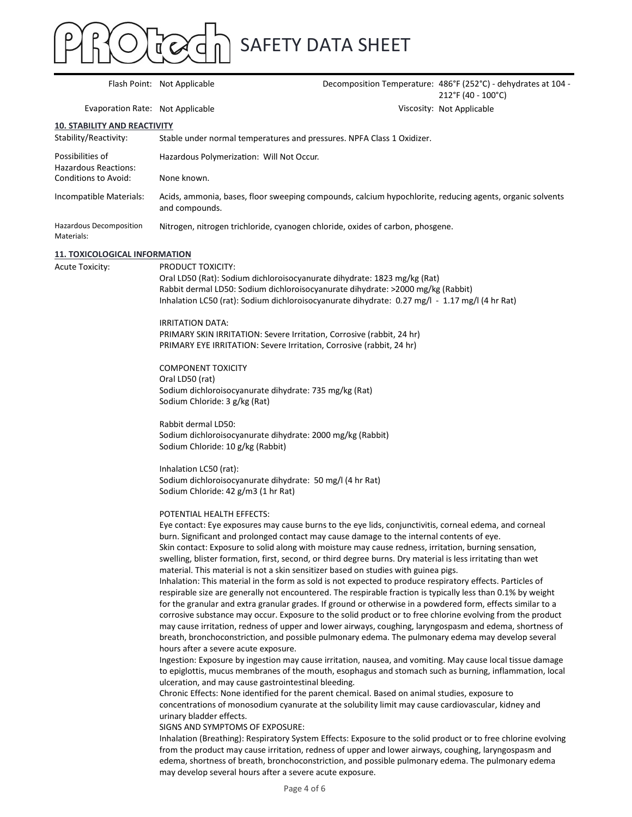Flash Point: Not Applicable<br>
Flash Point: Not Applicable<br>
Flash Point: Not Applicable<br>
Pecomposition Temperature: 486°F (252°C) -<br>
212°F (40 - 100°<br>
Viscosity: Not Applicable<br>
ND REACTIVITY<br>
Stable under normal temperature Evaporation Rate: Not Applicable ATA SHEET<br>
Decomposition Temperature: 486°F (252°C) - dehydrates at 104 -<br>
212°F (40 - 100°C)<br>
Viscosity: Not Applicable<br>
Sures. NPFA Class 1 Oxidizer. 212°F (40 - 100°C) Viscosity: Not Applicable Stability/Reactivity: Stable under normal temperatures and pressures. NPFA Class 1 Oxidizer. Possibilities of Hazardous Reactions: Hazardous Polymerization: Will Not Occur. Flash Point: Not Applicable<br>
Flash Point: Not Applicable<br>
Evaporation Rate: Not Applicable<br>
Decomposition Temperature: 486°F (252°C) -<br>
Evaporation Rate: Not Applicable<br>
10. STABILITY AND REACTIVITY<br>
Stability/Reactivity: Incompatible Materials: Acids, ammonia, bases, floor sweeping compounds, calcium hypochlorite, reducing agents, organic solvents and compounds. Hazardous Decomposition Materials: Nitrogen, nitrogen trichloride, cyanogen chloride, oxides of carbon, phosgene. 10. STABILITY AND REACTIVITY Acute Toxicity: PRODUCT TOXICITY: Oral LD50 (Rat): Sodium dichloroisocyanurate dihydrate: 1823 mg/kg (Rat) Rabbit dermal LD50: Sodium dichloroisocyanurate dihydrate: >2000 mg/kg (Rabbit) Inhalation LC50 (rat): Sodium dichloroisocyanurate dihydrate: 0.27 mg/l - 1.17 mg/l (4 hr Rat) IRRITATION DATA: PRIMARY SKIN IRRITATION: Severe Irritation, Corrosive (rabbit, 24 hr) PRIMARY EYE IRRITATION: Severe Irritation, Corrosive (rabbit, 24 hr) COMPONENT TOXICITY Oral LD50 (rat) Sodium dichloroisocyanurate dihydrate: 735 mg/kg (Rat) Sodium Chloride: 3 g/kg (Rat) Rabbit dermal LD50: Sodium dichloroisocyanurate dihydrate: 2000 mg/kg (Rabbit) Sodium Chloride: 10 g/kg (Rabbit) Inhalation LC50 (rat): Sodium dichloroisocyanurate dihydrate: 50 mg/l (4 hr Rat) Sodium Chloride: 42 g/m3 (1 hr Rat) POTENTIAL HEALTH EFFECTS: Eye contact: Eye exposures may cause burns to the eye lids, conjunctivitis, corneal edema, and corneal burn. Significant and prolonged contact may cause damage to the internal contents of eye. Skin contact: Exposure to solid along with moisture may cause redness, irritation, burning sensation, swelling, blister formation, first, second, or third degree burns. Dry material is less irritating than wet material. This material is not a skin sensitizer based on studies with guinea pigs. Inhalation: This material in the form as sold is not expected to produce respiratory effects. Particles of respirable size are generally not encountered. The respirable fraction is typically less than 0.1% by weight for the granular and extra granular grades. If ground or otherwise in a powdered form, effects similar to a corrosive substance may occur. Exposure to the solid product or to free chlorine evolving from the product may cause irritation, redness of upper and lower airways, coughing, laryngospasm and edema, shortness of breath, bronchoconstriction, and possible pulmonary edema. The pulmonary edema may develop several hours after a severe acute exposure. Ingestion: Exposure by ingestion may cause irritation, nausea, and vomiting. May cause local tissue damage to epiglottis, mucus membranes of the mouth, esophagus and stomach such as burning, inflammation, local ulceration, and may cause gastrointestinal bleeding. Chronic Effects: None identified for the parent chemical. Based on animal studies, exposure to concentrations of monosodium cyanurate at the solubility limit may cause cardiovascular, kidney and urinary bladder effects. SIGNS AND SYMPTOMS OF EXPOSURE: Inhalation (Breathing): Respiratory System Effects: Exposure to the solid product or to free chlorine evolving from the product may cause irritation, redness of upper and lower airways, coughing, laryngospasm and edema, shortness of breath, bronchoconstriction, and possible pulmonary edema. The pulmonary edema 11. TOXICOLOGICAL INFORMATION

may develop several hours after a severe acute exposure.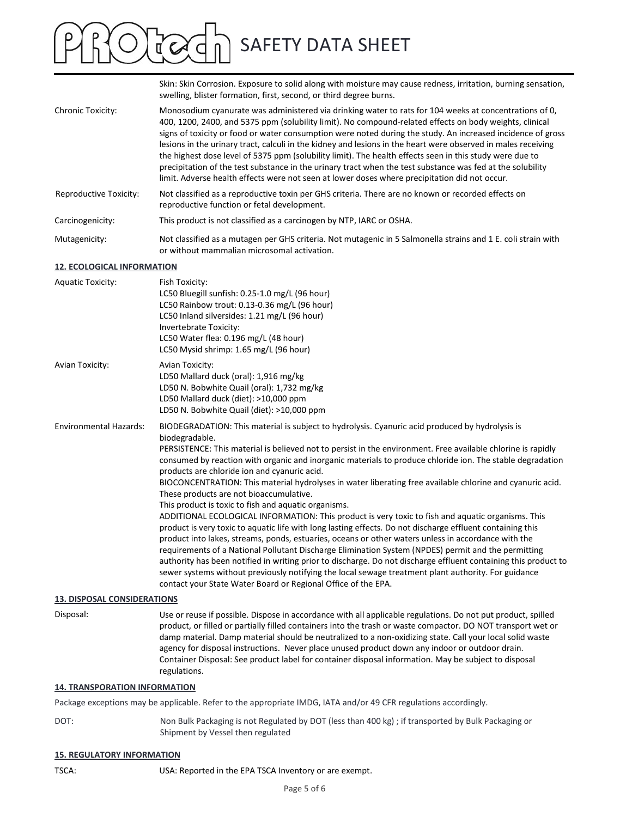Skin: Skin Corrosion. Exposure to solid along with moisture may cause redness, irritation, burning sensation, swelling, blister formation, first, second, or third degree burns. SAFETY DATA SHEET<br>Skin: Skin Corrosion. Exposure to solid along with moisture may cause redness, irritation, burning sensation,<br>swelling, blister formation, first, second, or third degree burns.<br>Monosodium cyanurate was ad 400, 1200, 2400, and 5375 ppm (solubility limit). No compound-related effects on body weights, clinical signs of toxicity or food or water consumption were noted during the study. An increased incidence of gross lesions in the urinary tract, calculi in the kidney and lesions in the heart were observed in males receiving the highest dose level of 5375 ppm (solubility limit). The health effects seen in this study were due to precipitation of the test substance in the urinary tract when the test substance was fed at the solubility limit. Adverse health effects were not seen at lower doses where precipitation did not occur. Reproductive Toxicity: Not classified as a reproductive toxin per GHS criteria. There are no known or recorded effects on reproductive function or fetal development. **EXECUTE AS THE SECT WORTH A SHEET SET AS SHE SET AND SAFETY DATA SHEET**<br>
SINT: SINT CONTINE SWOWS TO A ROWER TO SUGGINGLET AND AND SINTER UNITS, DURING TO A WERE SEVERT MONOSCOULT AND A MONOSCOULT CONCLUSIVE INTO A MORE C Mutagenicity: Not classified as a mutagen per GHS criteria. Not mutagenic in 5 Salmonella strains and 1 E. coli strain with or without mammalian microsomal activation. 12. ECOLOGICAL INFORMATION Aquatic Toxicity: Fish Toxicity: LC50 Bluegill sunfish: 0.25-1.0 mg/L (96 hour) LC50 Rainbow trout: 0.13-0.36 mg/L (96 hour) LC50 Inland silversides: 1.21 mg/L (96 hour) Invertebrate Toxicity: LC50 Water flea: 0.196 mg/L (48 hour) LC50 Mysid shrimp: 1.65 mg/L (96 hour) Chronic Toxicity:<br>
Monosodium cpanurate was administered via drinking water to atts for 104 weeks at consumer<br>
400, 1200, 2400, and 5375 ppm [solubility limt). No compound-related effects on body was<br>
signs of forcidly or LD50 Mallard duck (oral): 1,916 mg/kg LD50 N. Bobwhite Quail (oral): 1,732 mg/kg LD50 Mallard duck (diet): >10,000 ppm LD50 N. Bobwhite Quail (diet): >10,000 ppm 13. DISPOSAL CONSIDERATIONS Disposal: Use or reuse if possible. Dispose in accordance with all applicable regulations. Do not put product, spilled Environmental Hazards: BIODEGRADATION: This material is subject to hydrolysis. Cyanuric acid produced by hydrolysis is biodegradable. PERSISTENCE: This material is believed not to persist in the environment. Free available chlorine is rapidly consumed by reaction with organic and inorganic materials to produce chloride ion. The stable degradation products are chloride ion and cyanuric acid. BIOCONCENTRATION: This material hydrolyses in water liberating free available chlorine and cyanuric acid. These products are not bioaccumulative. This product is toxic to fish and aquatic organisms. ADDITIONAL ECOLOGICAL INFORMATION: This product is very toxic to fish and aquatic organisms. This product is very toxic to aquatic life with long lasting effects. Do not discharge effluent containing this product into lakes, streams, ponds, estuaries, oceans or other waters unless in accordance with the requirements of a National Pollutant Discharge Elimination System (NPDES) permit and the permitting authority has been notified in writing prior to discharge. Do not discharge effluent containing this product to sewer systems without previously notifying the local sewage treatment plant authority. For guidance contact your State Water Board or Regional Office of the EPA. ADDITIONAL ECOLOGICAL INFORMATION: This product is very toxic to fish and aquatic or product is very toxic to aquatic life with long lasting effects. Do not discharge effluent comproduct into lakes, streams, ponds, estuari

product, or filled or partially filled containers into the trash or waste compactor. DO NOT transport wet or damp material. Damp material should be neutralized to a non-oxidizing state. Call your local solid waste agency for disposal instructions. Never place unused product down any indoor or outdoor drain. Container Disposal: See product label for container disposal information. May be subject to disposal

#### **14. TRANSPORATION INFORMATION**

regulations.

Package exceptions may be applicable. Refer to the appropriate IMDG, IATA and/or 49 CFR regulations accordingly.

DOT: Non Bulk Packaging is not Regulated by DOT (less than 400 kg) ; if transported by Bulk Packaging or Shipment by Vessel then regulated

### 15. REGULATORY INFORMATION